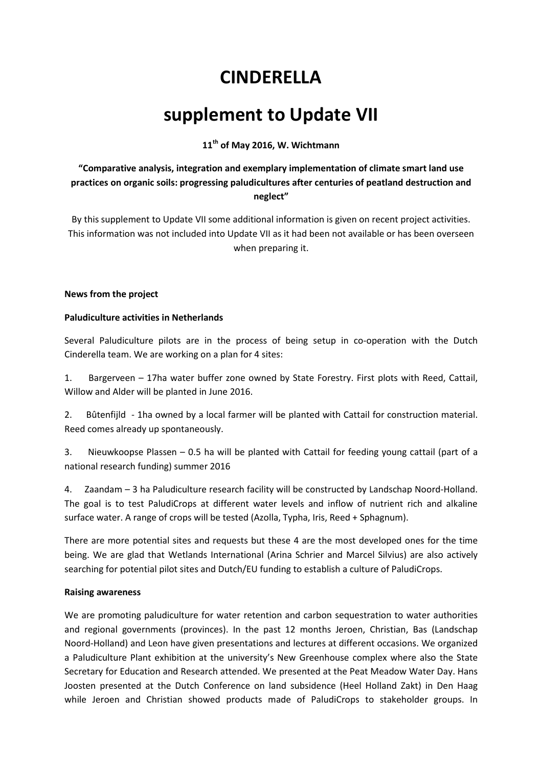# **CINDERELLA**

## **supplement to Update VII**

**11th of May 2016, W. Wichtmann** 

**"Comparative analysis, integration and exemplary implementation of climate smart land use practices on organic soils: progressing paludicultures after centuries of peatland destruction and neglect"** 

By this supplement to Update VII some additional information is given on recent project activities. This information was not included into Update VII as it had been not available or has been overseen when preparing it.

#### **News from the project**

#### **Paludiculture activities in Netherlands**

Several Paludiculture pilots are in the process of being setup in co-operation with the Dutch Cinderella team. We are working on a plan for 4 sites:

1. Bargerveen – 17ha water buffer zone owned by State Forestry. First plots with Reed, Cattail, Willow and Alder will be planted in June 2016.

2. Bûtenfijld - 1ha owned by a local farmer will be planted with Cattail for construction material. Reed comes already up spontaneously.

3. Nieuwkoopse Plassen – 0.5 ha will be planted with Cattail for feeding young cattail (part of a national research funding) summer 2016

4. Zaandam – 3 ha Paludiculture research facility will be constructed by Landschap Noord-Holland. The goal is to test PaludiCrops at different water levels and inflow of nutrient rich and alkaline surface water. A range of crops will be tested (Azolla, Typha, Iris, Reed + Sphagnum).

There are more potential sites and requests but these 4 are the most developed ones for the time being. We are glad that Wetlands International (Arina Schrier and Marcel Silvius) are also actively searching for potential pilot sites and Dutch/EU funding to establish a culture of PaludiCrops.

#### **Raising awareness**

We are promoting paludiculture for water retention and carbon sequestration to water authorities and regional governments (provinces). In the past 12 months Jeroen, Christian, Bas (Landschap Noord-Holland) and Leon have given presentations and lectures at different occasions. We organized a Paludiculture Plant exhibition at the university's New Greenhouse complex where also the State Secretary for Education and Research attended. We presented at the Peat Meadow Water Day. Hans Joosten presented at the Dutch Conference on land subsidence (Heel Holland Zakt) in Den Haag while Jeroen and Christian showed products made of PaludiCrops to stakeholder groups. In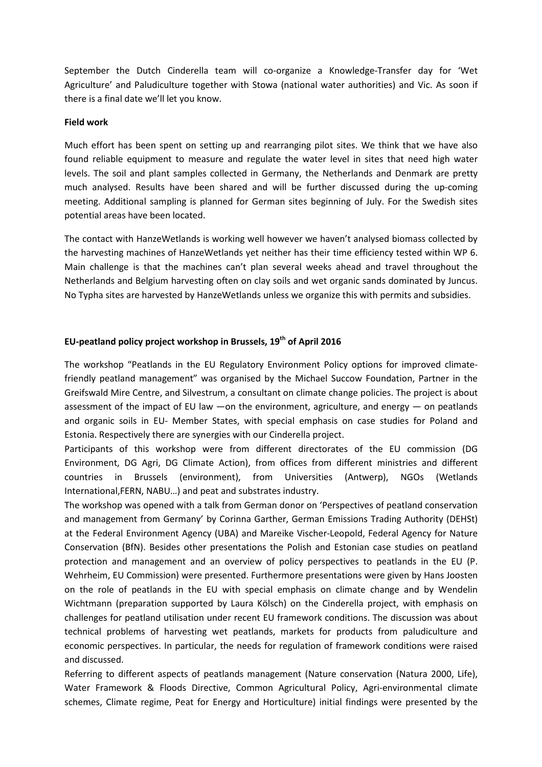September the Dutch Cinderella team will co-organize a Knowledge-Transfer day for 'Wet Agriculture' and Paludiculture together with Stowa (national water authorities) and Vic. As soon if there is a final date we'll let you know.

#### **Field work**

Much effort has been spent on setting up and rearranging pilot sites. We think that we have also found reliable equipment to measure and regulate the water level in sites that need high water levels. The soil and plant samples collected in Germany, the Netherlands and Denmark are pretty much analysed. Results have been shared and will be further discussed during the up-coming meeting. Additional sampling is planned for German sites beginning of July. For the Swedish sites potential areas have been located.

The contact with HanzeWetlands is working well however we haven't analysed biomass collected by the harvesting machines of HanzeWetlands yet neither has their time efficiency tested within WP 6. Main challenge is that the machines can't plan several weeks ahead and travel throughout the Netherlands and Belgium harvesting often on clay soils and wet organic sands dominated by Juncus. No Typha sites are harvested by HanzeWetlands unless we organize this with permits and subsidies.

### **EU-peatland policy project workshop in Brussels, 19th of April 2016**

The workshop "Peatlands in the EU Regulatory Environment Policy options for improved climatefriendly peatland management" was organised by the Michael Succow Foundation, Partner in the Greifswald Mire Centre, and Silvestrum, a consultant on climate change policies. The project is about assessment of the impact of EU law —on the environment, agriculture, and energy — on peatlands and organic soils in EU- Member States, with special emphasis on case studies for Poland and Estonia. Respectively there are synergies with our Cinderella project.

Participants of this workshop were from different directorates of the EU commission (DG Environment, DG Agri, DG Climate Action), from offices from different ministries and different countries in Brussels (environment), from Universities (Antwerp), NGOs (Wetlands International,FERN, NABU…) and peat and substrates industry.

The workshop was opened with a talk from German donor on 'Perspectives of peatland conservation and management from Germany' by Corinna Garther, German Emissions Trading Authority (DEHSt) at the Federal Environment Agency (UBA) and Mareike Vischer-Leopold, Federal Agency for Nature Conservation (BfN). Besides other presentations the Polish and Estonian case studies on peatland protection and management and an overview of policy perspectives to peatlands in the EU (P. Wehrheim, EU Commission) were presented. Furthermore presentations were given by Hans Joosten on the role of peatlands in the EU with special emphasis on climate change and by Wendelin Wichtmann (preparation supported by Laura Kölsch) on the Cinderella project, with emphasis on challenges for peatland utilisation under recent EU framework conditions. The discussion was about technical problems of harvesting wet peatlands, markets for products from paludiculture and economic perspectives. In particular, the needs for regulation of framework conditions were raised and discussed.

Referring to different aspects of peatlands management (Nature conservation (Natura 2000, Life), Water Framework & Floods Directive, Common Agricultural Policy, Agri-environmental climate schemes, Climate regime, Peat for Energy and Horticulture) initial findings were presented by the